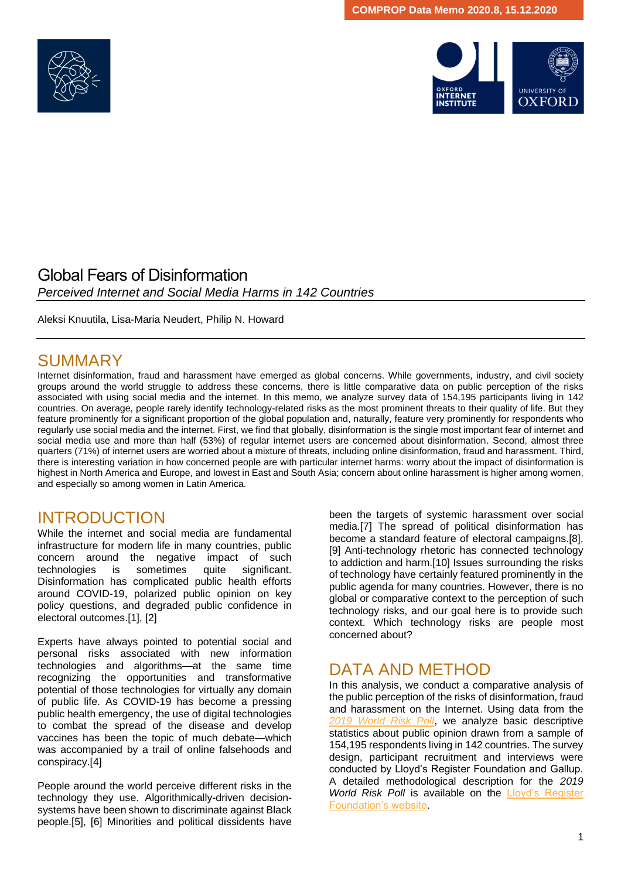



#### Global Fears of Disinformation *Perceived Internet and Social Media Harms in 142 Countries*

Aleksi Knuutila, Lisa-Maria Neudert, Philip N. Howard

## SUMMARY

Internet disinformation, fraud and harassment have emerged as global concerns. While governments, industry, and civil society groups around the world struggle to address these concerns, there is little comparative data on public perception of the risks associated with using social media and the internet. In this memo, we analyze survey data of 154,195 participants living in 142 countries. On average, people rarely identify technology-related risks as the most prominent threats to their quality of life. But they feature prominently for a significant proportion of the global population and, naturally, feature very prominently for respondents who regularly use social media and the internet. First, we find that globally, disinformation is the single most important fear of internet and social media use and more than half (53%) of regular internet users are concerned about disinformation. Second, almost three quarters (71%) of internet users are worried about a mixture of threats, including online disinformation, fraud and harassment. Third, there is interesting variation in how concerned people are with particular internet harms: worry about the impact of disinformation is highest in North America and Europe, and lowest in East and South Asia; concern about online harassment is higher among women, and especially so among women in Latin America.

#### INTRODUCTION

While the internet and social media are fundamental infrastructure for modern life in many countries, public concern around the negative impact of such technologies is sometimes quite significant. Disinformation has complicated public health efforts around COVID-19, polarized public opinion on key policy questions, and degraded public confidence in electoral outcomes.[1], [2]

Experts have always pointed to potential social and personal risks associated with new information technologies and algorithms—at the same time recognizing the opportunities and transformative potential of those technologies for virtually any domain of public life. As COVID-19 has become a pressing public health emergency, the use of digital technologies to combat the spread of the disease and develop vaccines has been the topic of much debate—which was accompanied by a trail of online falsehoods and conspiracy.[4]

People around the world perceive different risks in the technology they use. Algorithmically-driven decisionsystems have been shown to discriminate against Black people.[5], [6] Minorities and political dissidents have been the targets of systemic harassment over social media.[7] The spread of political disinformation has become a standard feature of electoral campaigns.[8], [9] Anti-technology rhetoric has connected technology to addiction and harm.[10] Issues surrounding the risks of technology have certainly featured prominently in the public agenda for many countries. However, there is no global or comparative context to the perception of such technology risks, and our goal here is to provide such context. Which technology risks are people most concerned about?

#### DATA AND METHOD

In this analysis, we conduct a comparative analysis of the public perception of the risks of disinformation, fraud and harassment on the Internet. Using data from the *[2019 World Risk Poll](https://wrp.lrfoundation.org.uk/LRF_WorldRiskReport_Book.pdf)*, we analyze basic descriptive statistics about public opinion drawn from a sample of 154,195 respondents living in 142 countries. The survey design, participant recruitment and interviews were conducted by Lloyd's Register Foundation and Gallup. A detailed methodological description for the *2019 World Risk Poll* is available on the Lloyd's Register [Foundation's website.](https://wrp.lrfoundation.org.uk/LRF_WorldRiskReport_MethodologyAppendix.pdf)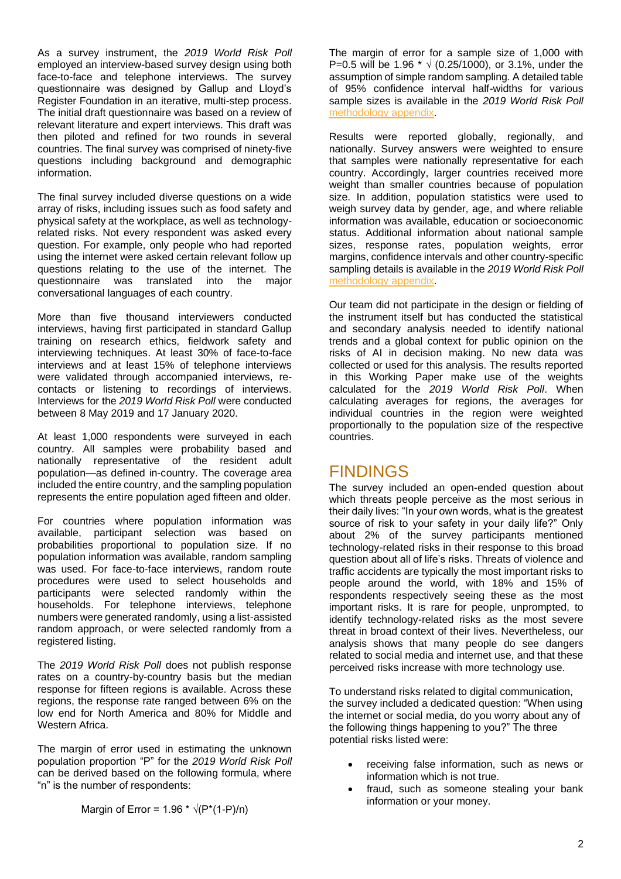As a survey instrument, the *2019 World Risk Poll* employed an interview-based survey design using both face-to-face and telephone interviews. The survey questionnaire was designed by Gallup and Lloyd's Register Foundation in an iterative, multi-step process. The initial draft questionnaire was based on a review of relevant literature and expert interviews. This draft was then piloted and refined for two rounds in several countries. The final survey was comprised of ninety-five questions including background and demographic information.

The final survey included diverse questions on a wide array of risks, including issues such as food safety and physical safety at the workplace, as well as technologyrelated risks. Not every respondent was asked every question. For example, only people who had reported using the internet were asked certain relevant follow up questions relating to the use of the internet. The questionnaire was translated into the major conversational languages of each country.

More than five thousand interviewers conducted interviews, having first participated in standard Gallup training on research ethics, fieldwork safety and interviewing techniques. At least 30% of face-to-face interviews and at least 15% of telephone interviews were validated through accompanied interviews, recontacts or listening to recordings of interviews. Interviews for the *2019 World Risk Poll* were conducted between 8 May 2019 and 17 January 2020.

At least 1,000 respondents were surveyed in each country. All samples were probability based and nationally representative of the resident adult population—as defined in-country. The coverage area included the entire country, and the sampling population represents the entire population aged fifteen and older.

For countries where population information was available, participant selection was based on probabilities proportional to population size. If no population information was available, random sampling was used. For face-to-face interviews, random route procedures were used to select households and participants were selected randomly within the households. For telephone interviews, telephone numbers were generated randomly, using a list-assisted random approach, or were selected randomly from a registered listing.

The *2019 World Risk Poll* does not publish response rates on a country-by-country basis but the median response for fifteen regions is available. Across these regions, the response rate ranged between 6% on the low end for North America and 80% for Middle and Western Africa.

The margin of error used in estimating the unknown population proportion "P" for the *2019 World Risk Poll* can be derived based on the following formula, where "n" is the number of respondents:

The margin of error for a sample size of 1,000 with P=0.5 will be 1.96  $*$  √ (0.25/1000), or 3.1%, under the assumption of simple random sampling. A detailed table of 95% confidence interval half-widths for various sample sizes is available in the *2019 World Risk Poll* [methodology](https://wrp.lrfoundation.org.uk/LRF_WorldRiskReport_MethodologyAppendix.pdf) appendix.

Results were reported globally, regionally, and nationally. Survey answers were weighted to ensure that samples were nationally representative for each country. Accordingly, larger countries received more weight than smaller countries because of population size. In addition, population statistics were used to weigh survey data by gender, age, and where reliable information was available, education or socioeconomic status. Additional information about national sample sizes, response rates, population weights, error margins, confidence intervals and other country-specific sampling details is available in the *2019 World Risk Poll* [methodology appendix.](https://wrp.lrfoundation.org.uk/LRF_WorldRiskReport_MethodologyAppendix.pdf)

Our team did not participate in the design or fielding of the instrument itself but has conducted the statistical and secondary analysis needed to identify national trends and a global context for public opinion on the risks of AI in decision making. No new data was collected or used for this analysis. The results reported in this Working Paper make use of the weights calculated for the *2019 World Risk Poll*. When calculating averages for regions, the averages for individual countries in the region were weighted proportionally to the population size of the respective countries.

#### FINDINGS

The survey included an open-ended question about which threats people perceive as the most serious in their daily lives: "In your own words, what is the greatest source of risk to your safety in your daily life?" Only about 2% of the survey participants mentioned technology-related risks in their response to this broad question about all of life's risks. Threats of violence and traffic accidents are typically the most important risks to people around the world, with 18% and 15% of respondents respectively seeing these as the most important risks. It is rare for people, unprompted, to identify technology-related risks as the most severe threat in broad context of their lives. Nevertheless, our analysis shows that many people do see dangers related to social media and internet use, and that these perceived risks increase with more technology use.

To understand risks related to digital communication, the survey included a dedicated question: "When using the internet or social media, do you worry about any of the following things happening to you?" The three potential risks listed were:

- receiving false information, such as news or information which is not true.
- fraud, such as someone stealing your bank information or your money.

Margin of Error =  $1.96 \times \sqrt{(P^*(1-P)/n)}$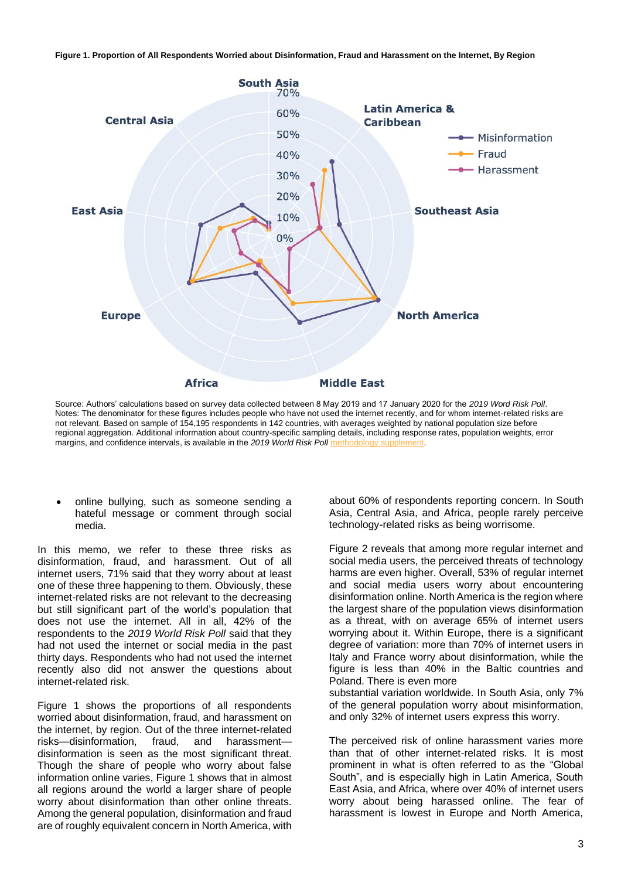



Source: Authors' calculations based on survey data collected between 8 May 2019 and 17 January 2020 for the *2019 Word Risk Poll*. Notes: The denominator for these figures includes people who have not used the internet recently, and for whom internet-related risks are not relevant. Based on sample of 154,195 respondents in 142 countries, with averages weighted by national population size before regional aggregation. Additional information about country-specific sampling details, including response rates, population weights, error margins, and confidence intervals, is available in the 2019 World Risk Poll m

• online bullying, such as someone sending a hateful message or comment through social media.

In this memo, we refer to these three risks as disinformation, fraud, and harassment. Out of all internet users, 71% said that they worry about at least one of these three happening to them. Obviously, these internet-related risks are not relevant to the decreasing but still significant part of the world's population that does not use the internet. All in all, 42% of the respondents to the *2019 World Risk Poll* said that they had not used the internet or social media in the past thirty days. Respondents who had not used the internet recently also did not answer the questions about internet-related risk.

Figure 1 shows the proportions of all respondents worried about disinformation, fraud, and harassment on the internet, by region. Out of the three internet-related risks—disinformation, fraud, and harassmentdisinformation is seen as the most significant threat. Though the share of people who worry about false information online varies, Figure 1 shows that in almost all regions around the world a larger share of people worry about disinformation than other online threats. Among the general population, disinformation and fraud are of roughly equivalent concern in North America, with about 60% of respondents reporting concern. In South Asia, Central Asia, and Africa, people rarely perceive technology-related risks as being worrisome.

Figure 2 reveals that among more regular internet and social media users, the perceived threats of technology harms are even higher. Overall, 53% of regular internet and social media users worry about encountering disinformation online. North America is the region where the largest share of the population views disinformation as a threat, with on average 65% of internet users worrying about it. Within Europe, there is a significant degree of variation: more than 70% of internet users in Italy and France worry about disinformation, while the figure is less than 40% in the Baltic countries and Poland. There is even more

substantial variation worldwide. In South Asia, only 7% of the general population worry about misinformation, and only 32% of internet users express this worry.

The perceived risk of online harassment varies more than that of other internet-related risks. It is most prominent in what is often referred to as the "Global South", and is especially high in Latin America, South East Asia, and Africa, where over 40% of internet users worry about being harassed online. The fear of harassment is lowest in Europe and North America,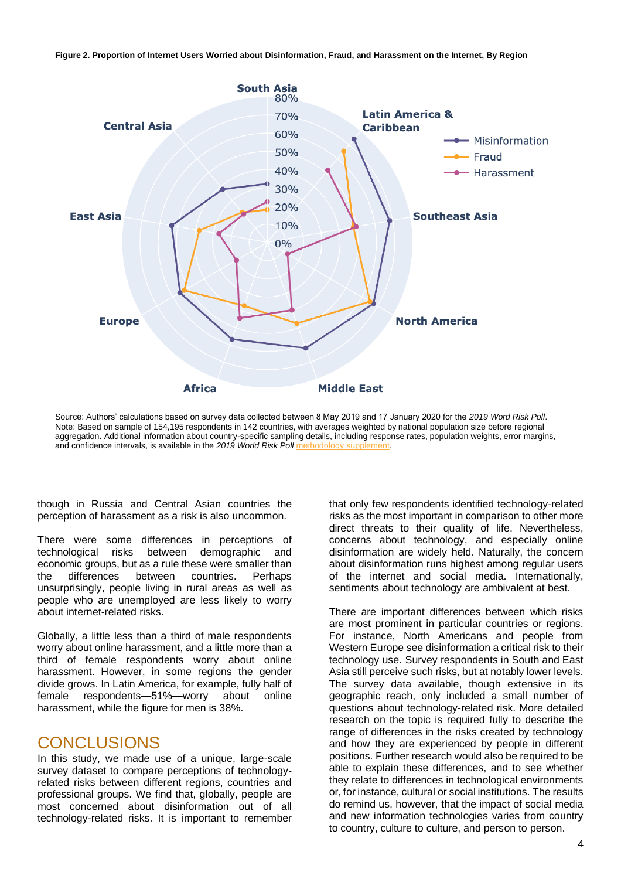**Figure 2. Proportion of Internet Users Worried about Disinformation, Fraud, and Harassment on the Internet, By Region**



Source: Authors' calculations based on survey data collected between 8 May 2019 and 17 January 2020 for the *2019 Word Risk Poll*. Note: Based on sample of 154,195 respondents in 142 countries, with averages weighted by national population size before regional aggregation. Additional information about country-specific sampling details, including response rates, population weights, error margins, and confidence intervals, is available in the 2019 World Risk Poll methods

though in Russia and Central Asian countries the perception of harassment as a risk is also uncommon.

There were some differences in perceptions of technological risks between demographic and economic groups, but as a rule these were smaller than the differences between countries. Perhaps unsurprisingly, people living in rural areas as well as people who are unemployed are less likely to worry about internet-related risks.

Globally, a little less than a third of male respondents worry about online harassment, and a little more than a third of female respondents worry about online harassment. However, in some regions the gender divide grows. In Latin America, for example, fully half of female respondents—51%—worry about online harassment, while the figure for men is 38%.

#### **CONCLUSIONS**

In this study, we made use of a unique, large-scale survey dataset to compare perceptions of technologyrelated risks between different regions, countries and professional groups. We find that, globally, people are most concerned about disinformation out of all technology-related risks. It is important to remember that only few respondents identified technology-related risks as the most important in comparison to other more direct threats to their quality of life. Nevertheless, concerns about technology, and especially online disinformation are widely held. Naturally, the concern about disinformation runs highest among regular users of the internet and social media. Internationally, sentiments about technology are ambivalent at best.

There are important differences between which risks are most prominent in particular countries or regions. For instance, North Americans and people from Western Europe see disinformation a critical risk to their technology use. Survey respondents in South and East Asia still perceive such risks, but at notably lower levels. The survey data available, though extensive in its geographic reach, only included a small number of questions about technology-related risk. More detailed research on the topic is required fully to describe the range of differences in the risks created by technology and how they are experienced by people in different positions. Further research would also be required to be able to explain these differences, and to see whether they relate to differences in technological environments or, for instance, cultural or social institutions. The results do remind us, however, that the impact of social media and new information technologies varies from country to country, culture to culture, and person to person.